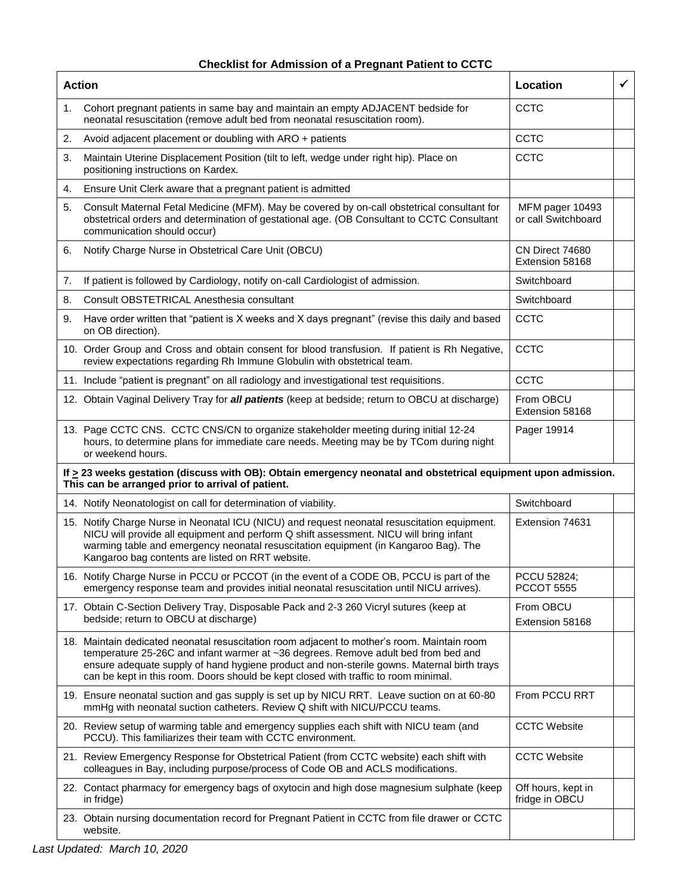## **Checklist for Admission of a Pregnant Patient to CCTC**

| <b>Action</b>                                                                                                                                                            |                                                                                                                                                                                                                                                                                                                                                                        | Location                               | $\checkmark$ |
|--------------------------------------------------------------------------------------------------------------------------------------------------------------------------|------------------------------------------------------------------------------------------------------------------------------------------------------------------------------------------------------------------------------------------------------------------------------------------------------------------------------------------------------------------------|----------------------------------------|--------------|
| 1.                                                                                                                                                                       | Cohort pregnant patients in same bay and maintain an empty ADJACENT bedside for<br>neonatal resuscitation (remove adult bed from neonatal resuscitation room).                                                                                                                                                                                                         | CCTC                                   |              |
| 2.                                                                                                                                                                       | Avoid adjacent placement or doubling with ARO + patients                                                                                                                                                                                                                                                                                                               | <b>CCTC</b>                            |              |
| 3.                                                                                                                                                                       | Maintain Uterine Displacement Position (tilt to left, wedge under right hip). Place on<br>positioning instructions on Kardex.                                                                                                                                                                                                                                          | <b>CCTC</b>                            |              |
| 4.                                                                                                                                                                       | Ensure Unit Clerk aware that a pregnant patient is admitted                                                                                                                                                                                                                                                                                                            |                                        |              |
| 5.                                                                                                                                                                       | Consult Maternal Fetal Medicine (MFM). May be covered by on-call obstetrical consultant for<br>obstetrical orders and determination of gestational age. (OB Consultant to CCTC Consultant<br>communication should occur)                                                                                                                                               | MFM pager 10493<br>or call Switchboard |              |
| 6.                                                                                                                                                                       | Notify Charge Nurse in Obstetrical Care Unit (OBCU)                                                                                                                                                                                                                                                                                                                    | CN Direct 74680<br>Extension 58168     |              |
| 7.                                                                                                                                                                       | If patient is followed by Cardiology, notify on-call Cardiologist of admission.                                                                                                                                                                                                                                                                                        | Switchboard                            |              |
| 8.                                                                                                                                                                       | Consult OBSTETRICAL Anesthesia consultant                                                                                                                                                                                                                                                                                                                              | Switchboard                            |              |
| 9.                                                                                                                                                                       | Have order written that "patient is X weeks and X days pregnant" (revise this daily and based<br>on OB direction).                                                                                                                                                                                                                                                     | CCTC                                   |              |
|                                                                                                                                                                          | 10. Order Group and Cross and obtain consent for blood transfusion. If patient is Rh Negative,<br>review expectations regarding Rh Immune Globulin with obstetrical team.                                                                                                                                                                                              | CCTC                                   |              |
|                                                                                                                                                                          | 11. Include "patient is pregnant" on all radiology and investigational test requisitions.                                                                                                                                                                                                                                                                              | CCTC                                   |              |
|                                                                                                                                                                          | 12. Obtain Vaginal Delivery Tray for all patients (keep at bedside; return to OBCU at discharge)                                                                                                                                                                                                                                                                       | From OBCU<br>Extension 58168           |              |
|                                                                                                                                                                          | 13. Page CCTC CNS. CCTC CNS/CN to organize stakeholder meeting during initial 12-24<br>hours, to determine plans for immediate care needs. Meeting may be by TCom during night<br>or weekend hours.                                                                                                                                                                    | Pager 19914                            |              |
| If $\geq$ 23 weeks gestation (discuss with OB): Obtain emergency neonatal and obstetrical equipment upon admission.<br>This can be arranged prior to arrival of patient. |                                                                                                                                                                                                                                                                                                                                                                        |                                        |              |
|                                                                                                                                                                          | 14. Notify Neonatologist on call for determination of viability.                                                                                                                                                                                                                                                                                                       | Switchboard                            |              |
|                                                                                                                                                                          | 15. Notify Charge Nurse in Neonatal ICU (NICU) and request neonatal resuscitation equipment.<br>NICU will provide all equipment and perform Q shift assessment. NICU will bring infant<br>warming table and emergency neonatal resuscitation equipment (in Kangaroo Bag). The<br>Kangaroo bag contents are listed on RRT website.                                      | Extension 74631                        |              |
|                                                                                                                                                                          | 16. Notify Charge Nurse in PCCU or PCCOT (in the event of a CODE OB, PCCU is part of the<br>emergency response team and provides initial neonatal resuscitation until NICU arrives).                                                                                                                                                                                   | PCCU 52824;<br><b>PCCOT 5555</b>       |              |
|                                                                                                                                                                          | 17. Obtain C-Section Delivery Tray, Disposable Pack and 2-3 260 Vicryl sutures (keep at<br>bedside; return to OBCU at discharge)                                                                                                                                                                                                                                       | From OBCU<br>Extension 58168           |              |
|                                                                                                                                                                          | 18. Maintain dedicated neonatal resuscitation room adjacent to mother's room. Maintain room<br>temperature 25-26C and infant warmer at ~36 degrees. Remove adult bed from bed and<br>ensure adequate supply of hand hygiene product and non-sterile gowns. Maternal birth trays<br>can be kept in this room. Doors should be kept closed with traffic to room minimal. |                                        |              |
|                                                                                                                                                                          | 19. Ensure neonatal suction and gas supply is set up by NICU RRT. Leave suction on at 60-80<br>mmHg with neonatal suction catheters. Review Q shift with NICU/PCCU teams.                                                                                                                                                                                              | From PCCU RRT                          |              |
|                                                                                                                                                                          | 20. Review setup of warming table and emergency supplies each shift with NICU team (and<br>PCCU). This familiarizes their team with CCTC environment.                                                                                                                                                                                                                  | <b>CCTC Website</b>                    |              |
|                                                                                                                                                                          | 21. Review Emergency Response for Obstetrical Patient (from CCTC website) each shift with<br>colleagues in Bay, including purpose/process of Code OB and ACLS modifications.                                                                                                                                                                                           | <b>CCTC Website</b>                    |              |
|                                                                                                                                                                          | 22. Contact pharmacy for emergency bags of oxytocin and high dose magnesium sulphate (keep<br>in fridge)                                                                                                                                                                                                                                                               | Off hours, kept in<br>fridge in OBCU   |              |
|                                                                                                                                                                          | 23. Obtain nursing documentation record for Pregnant Patient in CCTC from file drawer or CCTC<br>website.                                                                                                                                                                                                                                                              |                                        |              |